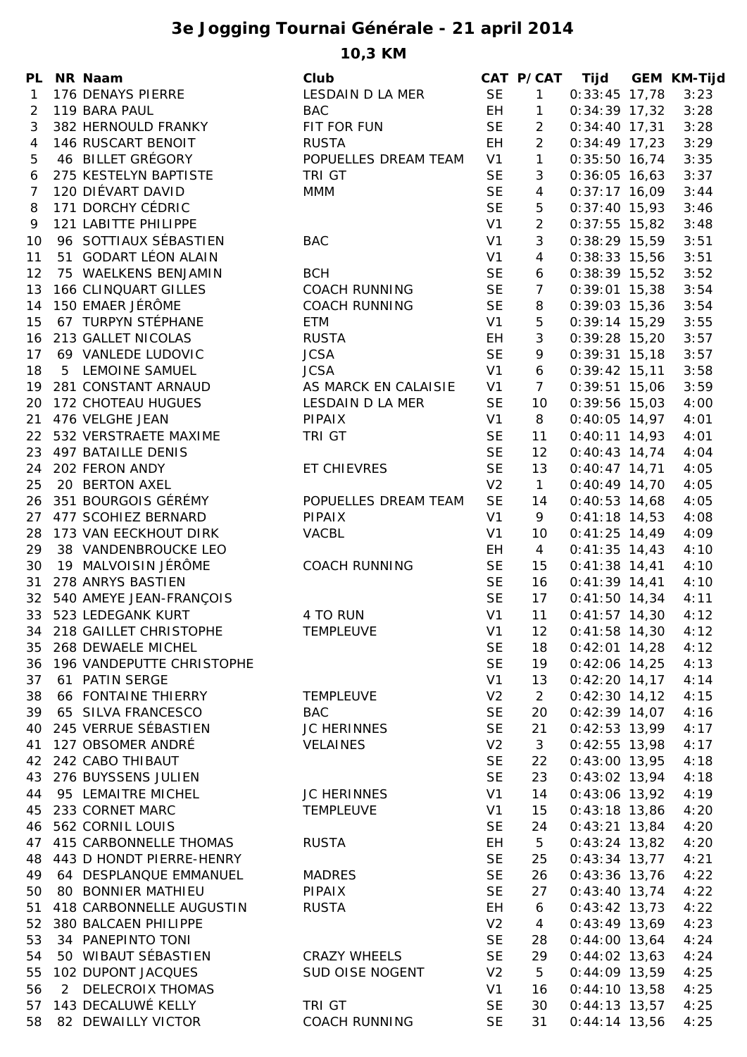## **3e Jogging Tournai Générale - 21 april 2014**

**10,3 KM**

| PL.            | NR Naam                      | Club                 |                | CAT P/CAT       | Tijd            | <b>GEM KM-Tijd</b> |
|----------------|------------------------------|----------------------|----------------|-----------------|-----------------|--------------------|
| 1              | 176 DENAYS PIERRE            | LESDAIN D LA MER     | <b>SE</b>      | $\mathbf{1}$    | $0:33:45$ 17,78 | 3:23               |
| 2              | 119 BARA PAUL                | <b>BAC</b>           | EH.            | $\mathbf{1}$    | $0:34:39$ 17,32 | 3:28               |
| 3              | 382 HERNOULD FRANKY          | FIT FOR FUN          | <b>SE</b>      | $\overline{2}$  | $0:34:40$ 17,31 | 3:28               |
| 4              | 146 RUSCART BENOIT           | <b>RUSTA</b>         | EH.            | $\overline{2}$  | $0:34:49$ 17,23 | 3:29               |
| 5              | 46 BILLET GRÉGORY            | POPUELLES DREAM TEAM | V1             | $\mathbf{1}$    | $0:35:50$ 16,74 | 3:35               |
| 6              | 275 KESTELYN BAPTISTE        | <b>TRI GT</b>        | <b>SE</b>      | 3               | $0:36:05$ 16,63 | 3:37               |
| $\overline{7}$ | 120 DIÉVART DAVID            | <b>MMM</b>           | <b>SE</b>      | 4               | $0:37:17$ 16,09 | 3:44               |
| 8              | 171 DORCHY CÉDRIC            |                      | <b>SE</b>      | 5               | $0:37:40$ 15,93 | 3:46               |
| 9              | 121 LABITTE PHILIPPE         |                      | V <sub>1</sub> | $\overline{2}$  | $0:37:55$ 15,82 | 3:48               |
| 10             | 96 SOTTIAUX SÉBASTIEN        | <b>BAC</b>           | V1             | 3               | $0:38:29$ 15,59 | 3:51               |
|                |                              |                      |                |                 |                 |                    |
| 11             | 51 GODART LÉON ALAIN         |                      | V1             | $\overline{4}$  | $0:38:33$ 15,56 | 3:51               |
| 12             | 75 WAELKENS BENJAMIN         | <b>BCH</b>           | <b>SE</b>      | 6               | $0:38:39$ 15,52 | 3:52               |
| 13             | <b>166 CLINQUART GILLES</b>  | <b>COACH RUNNING</b> | <b>SE</b>      | $\overline{7}$  | $0:39:01$ 15,38 | 3:54               |
| 14             | 150 EMAER JÉRÔME             | <b>COACH RUNNING</b> | <b>SE</b>      | 8               | $0:39:03$ 15,36 | 3:54               |
| 15             | 67 TURPYN STÉPHANE           | <b>ETM</b>           | V1             | 5               | $0:39:14$ 15,29 | 3:55               |
| 16             | 213 GALLET NICOLAS           | <b>RUSTA</b>         | EH             | 3               | $0:39:28$ 15,20 | 3:57               |
| 17             | 69 VANLEDE LUDOVIC           | <b>JCSA</b>          | <b>SE</b>      | 9               | $0:39:31$ 15,18 | 3:57               |
| 18             | 5 LEMOINE SAMUEL             | <b>JCSA</b>          | V1             | 6               | $0:39:42$ 15,11 | 3:58               |
| 19             | 281 CONSTANT ARNAUD          | AS MARCK EN CALAISIE | V <sub>1</sub> | $\overline{7}$  | $0:39:51$ 15,06 | 3:59               |
| 20             | 172 CHOTEAU HUGUES           | LESDAIN D LA MER     | <b>SE</b>      | 10              | $0:39:56$ 15,03 | 4:00               |
| 21             | 476 VELGHE JEAN              | PIPAIX               | V1             | 8               | $0:40:05$ 14,97 | 4:01               |
|                | 22 532 VERSTRAETE MAXIME     | TRI GT               | <b>SE</b>      | 11              | $0:40:11$ 14,93 | 4:01               |
|                | 23 497 BATAILLE DENIS        |                      | <b>SE</b>      | 12              | $0:40:43$ 14,74 | 4:04               |
|                | 24 202 FERON ANDY            | ET CHIEVRES          | <b>SE</b>      | 13              | $0:40:47$ 14,71 | 4:05               |
| 25             | 20 BERTON AXEL               |                      | V <sub>2</sub> | $\mathbf{1}$    | $0:40:49$ 14,70 | 4:05               |
| 26             | 351 BOURGOIS GÉRÉMY          | POPUELLES DREAM TEAM | <b>SE</b>      | 14              | $0:40:53$ 14,68 | 4:05               |
| 27             | 477 SCOHIEZ BERNARD          | <b>PIPAIX</b>        | V1             | 9               | $0:41:18$ 14,53 | 4:08               |
| 28             | 173 VAN EECKHOUT DIRK        | VACBL                | V1             | 10              | $0:41:25$ 14,49 | 4:09               |
| 29             | 38 VANDENBROUCKE LEO         |                      | EH             | $\overline{4}$  | $0:41:35$ 14,43 | 4:10               |
| 30             | 19 MALVOISIN JÉRÔME          | <b>COACH RUNNING</b> | <b>SE</b>      | 15              | $0:41:38$ 14,41 | 4:10               |
| 31             | 278 ANRYS BASTIEN            |                      | <b>SE</b>      | 16              | $0:41:39$ 14,41 | 4:10               |
|                | 32 540 AMEYE JEAN-FRANÇOIS   |                      | <b>SE</b>      | 17              | $0:41:50$ 14,34 | 4:11               |
|                | 33 523 LEDEGANK KURT         | 4 TO RUN             | V <sub>1</sub> | 11              |                 |                    |
|                |                              |                      |                |                 | $0:41:57$ 14,30 | 4:12               |
|                | 34 218 GAILLET CHRISTOPHE    | TEMPLEUVE            | V1             | 12              | $0:41:58$ 14,30 | 4:12               |
|                | 35 268 DEWAELE MICHEL        |                      | <b>SE</b>      | 18              | $0:42:01$ 14,28 | 4:12               |
|                | 36 196 VANDEPUTTE CHRISTOPHE |                      | <b>SE</b>      | 19              | $0:42:06$ 14,25 | 4:13               |
| 37             | 61 PATIN SERGE               |                      | V1             | 13              | $0:42:20$ 14,17 | 4:14               |
| 38             | 66 FONTAINE THIERRY          | TEMPLEUVE            | V <sub>2</sub> | $\overline{2}$  | $0:42:30$ 14,12 | 4:15               |
| 39             | 65 SILVA FRANCESCO           | <b>BAC</b>           | <b>SE</b>      | 20              | $0:42:39$ 14,07 | 4:16               |
|                | 40 245 VERRUE SÉBASTIEN      | JC HERINNES          | <b>SE</b>      | 21              | $0:42:53$ 13,99 | 4:17               |
|                | 41 127 OBSOMER ANDRÉ         | VELAINES             | V <sub>2</sub> | $\mathbf{3}$    | $0:42:55$ 13,98 | 4:17               |
| 42             | 242 CABO THIBAUT             |                      | <b>SE</b>      | 22              | $0:43:00$ 13,95 | 4:18               |
|                | 43 276 BUYSSENS JULIEN       |                      | <b>SE</b>      | 23              | $0:43:02$ 13,94 | 4:18               |
| 44             | 95 LEMAITRE MICHEL           | JC HERINNES          | V1             | 14              | $0:43:06$ 13,92 | 4:19               |
| 45             | 233 CORNET MARC              | TEMPLEUVE            | V1             | 15              | $0:43:18$ 13,86 | 4:20               |
| 46             | 562 CORNIL LOUIS             |                      | <b>SE</b>      | 24              | $0:43:21$ 13,84 | 4:20               |
|                | 47 415 CARBONNELLE THOMAS    | <b>RUSTA</b>         | EH             | 5 <sub>5</sub>  | $0:43:24$ 13,82 | 4:20               |
|                | 48 443 D HONDT PIERRE-HENRY  |                      | <b>SE</b>      | 25              | $0:43:34$ 13,77 | 4:21               |
| 49             | 64 DESPLANQUE EMMANUEL       | MADRES               | <b>SE</b>      | 26              | $0:43:36$ 13,76 | 4:22               |
| 50             | 80 BONNIER MATHIEU           | PIPAIX               | <b>SE</b>      | 27              | $0:43:40$ 13,74 | 4:22               |
| 51             | 418 CARBONNELLE AUGUSTIN     | <b>RUSTA</b>         | EH             | 6               | $0:43:42$ 13,73 | 4:22               |
| 52             | 380 BALCAEN PHILIPPE         |                      | V <sub>2</sub> | $\overline{4}$  | $0:43:49$ 13,69 | 4:23               |
| 53             | 34 PANEPINTO TONI            |                      | <b>SE</b>      | 28              | $0:44:00$ 13,64 | 4:24               |
| 54             | 50 WIBAUT SÉBASTIEN          | <b>CRAZY WHEELS</b>  | <b>SE</b>      | 29              | $0:44:02$ 13,63 | 4:24               |
| 55             | 102 DUPONT JACQUES           | SUD OISE NOGENT      | V <sub>2</sub> | $5\overline{)}$ | $0:44:09$ 13,59 | 4:25               |
| 56             | 2 DELECROIX THOMAS           |                      | V1             | 16              | $0:44:10$ 13,58 | 4:25               |
|                | 57 143 DECALUWÉ KELLY        | TRI GT               | <b>SE</b>      | 30              | $0:44:13$ 13,57 | 4:25               |
| 58             |                              |                      |                |                 |                 |                    |
|                | 82 DEWAILLY VICTOR           | <b>COACH RUNNING</b> | <b>SE</b>      | 31              | $0:44:14$ 13,56 | 4:25               |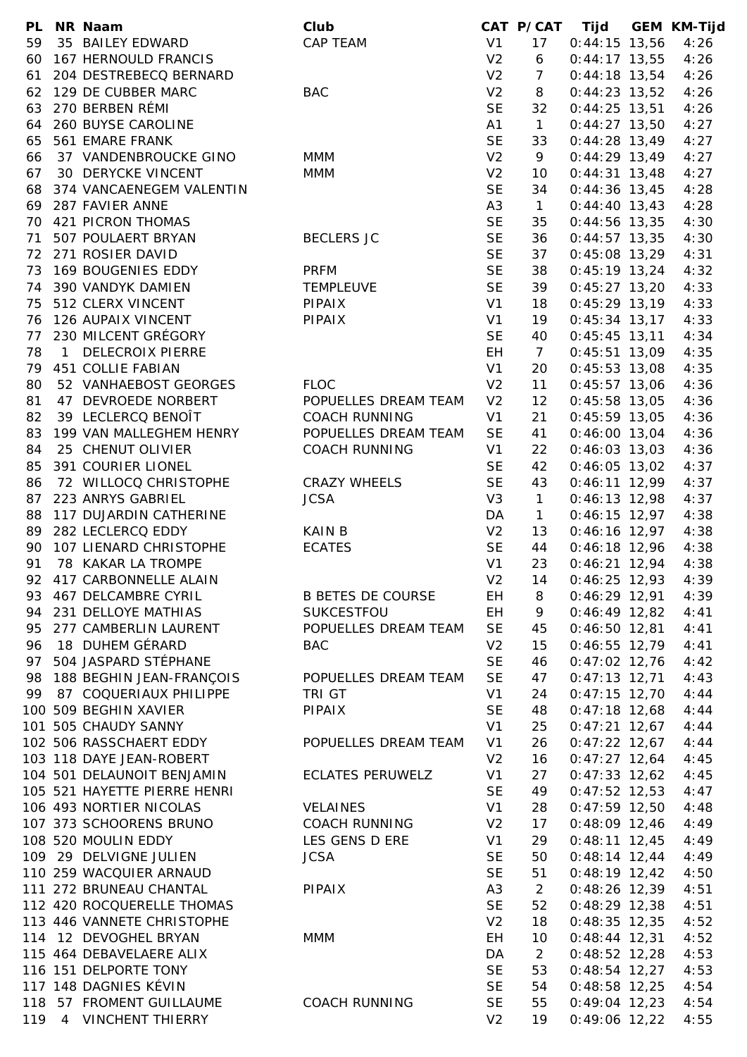| <b>PL</b> | NR Naam                      | Club                     |                | CAT P/CAT      | Tijd            | <b>GEM KM-Tijd</b> |
|-----------|------------------------------|--------------------------|----------------|----------------|-----------------|--------------------|
| 59        | 35 BAILEY EDWARD             | CAP TEAM                 | V <sub>1</sub> | 17             | $0:44:15$ 13,56 | 4:26               |
| 60        | 167 HERNOULD FRANCIS         |                          | V <sub>2</sub> | 6              | $0:44:17$ 13,55 | 4:26               |
| 61        | 204 DESTREBECQ BERNARD       |                          | V <sub>2</sub> | $\overline{7}$ | $0:44:18$ 13,54 | 4:26               |
| 62        | 129 DE CUBBER MARC           | <b>BAC</b>               | V <sub>2</sub> | 8              | $0:44:23$ 13,52 | 4:26               |
| 63        | 270 BERBEN RÉMI              |                          | <b>SE</b>      | 32             | $0:44:25$ 13,51 | 4:26               |
| 64        | 260 BUYSE CAROLINE           |                          | A1             | $\mathbf{1}$   | $0:44:27$ 13,50 | 4:27               |
| 65        | 561 EMARE FRANK              |                          | <b>SE</b>      | 33             | $0:44:28$ 13,49 | 4:27               |
|           | 37 VANDENBROUCKE GINO        | <b>MMM</b>               | V <sub>2</sub> | 9              | $0:44:29$ 13,49 | 4:27               |
| 66        |                              |                          |                |                |                 |                    |
| 67        | 30 DERYCKE VINCENT           | <b>MMM</b>               | V <sub>2</sub> | 10             | $0:44:31$ 13,48 | 4:27               |
| 68        | 374 VANCAENEGEM VALENTIN     |                          | <b>SE</b>      | 34             | $0:44:36$ 13,45 | 4:28               |
| 69        | 287 FAVIER ANNE              |                          | A <sub>3</sub> | $\mathbf{1}$   | $0:44:40$ 13,43 | 4:28               |
| 70        | 421 PICRON THOMAS            |                          | <b>SE</b>      | 35             | $0:44:56$ 13,35 | 4:30               |
| 71        | 507 POULAERT BRYAN           | <b>BECLERS JC</b>        | <b>SE</b>      | 36             | $0:44:57$ 13,35 | 4:30               |
|           | 72 271 ROSIER DAVID          |                          | <b>SE</b>      | 37             | $0:45:08$ 13,29 | 4:31               |
| 73        | 169 BOUGENIES EDDY           | <b>PRFM</b>              | <b>SE</b>      | 38             | $0:45:19$ 13,24 | 4:32               |
| 74        | 390 VANDYK DAMIEN            | <b>TEMPLEUVE</b>         | <b>SE</b>      | 39             | $0:45:27$ 13,20 | 4:33               |
| 75        | 512 CLERX VINCENT            | PIPAIX                   | V <sub>1</sub> | 18             | $0:45:29$ 13,19 | 4:33               |
| 76        | 126 AUPAIX VINCENT           | PIPAIX                   | V <sub>1</sub> | 19             | $0:45:34$ 13,17 | 4:33               |
| 77        | 230 MILCENT GRÉGORY          |                          | <b>SE</b>      | 40             | $0:45:45$ 13,11 | 4:34               |
| 78        | 1 DELECROIX PIERRE           |                          | EH             | $\overline{7}$ | $0:45:51$ 13,09 | 4:35               |
| 79        | <b>451 COLLIE FABIAN</b>     |                          | V <sub>1</sub> | 20             | $0:45:53$ 13,08 | 4:35               |
|           |                              |                          |                |                |                 |                    |
| 80        | 52 VANHAEBOST GEORGES        | <b>FLOC</b>              | V <sub>2</sub> | 11             | $0:45:57$ 13,06 | 4:36               |
| 81        | 47 DEVROEDE NORBERT          | POPUELLES DREAM TEAM     | V <sub>2</sub> | 12             | $0:45:58$ 13,05 | 4:36               |
| 82        | 39 LECLERCQ BENOIT           | <b>COACH RUNNING</b>     | V <sub>1</sub> | 21             | $0:45:59$ 13,05 | 4:36               |
| 83        | 199 VAN MALLEGHEM HENRY      | POPUELLES DREAM TEAM     | <b>SE</b>      | 41             | $0:46:00$ 13,04 | 4:36               |
| 84        | 25 CHENUT OLIVIER            | <b>COACH RUNNING</b>     | V1             | 22             | $0:46:03$ 13,03 | 4:36               |
| 85        | 391 COURIER LIONEL           |                          | <b>SE</b>      | 42             | $0:46:05$ 13,02 | 4:37               |
| 86        | 72 WILLOCQ CHRISTOPHE        | <b>CRAZY WHEELS</b>      | <b>SE</b>      | 43             | $0:46:11$ 12,99 | 4:37               |
| 87        | 223 ANRYS GABRIEL            | <b>JCSA</b>              | V <sub>3</sub> | $\mathbf{1}$   | $0:46:13$ 12,98 | 4:37               |
| 88        | 117 DUJARDIN CATHERINE       |                          | DA             | $\mathbf{1}$   | $0:46:15$ 12,97 | 4:38               |
| 89        | 282 LECLERCQ EDDY            | KAIN B                   | V <sub>2</sub> | 13             | $0:46:16$ 12,97 | 4:38               |
| 90        | 107 LIENARD CHRISTOPHE       | <b>ECATES</b>            | <b>SE</b>      | 44             | $0:46:18$ 12,96 | 4:38               |
| 91        | 78 KAKAR LA TROMPE           |                          | V <sub>1</sub> | 23             | $0:46:21$ 12,94 | 4:38               |
|           |                              |                          |                |                |                 |                    |
| 92        | 417 CARBONNELLE ALAIN        |                          | V <sub>2</sub> | 14             | $0:46:25$ 12,93 | 4:39               |
| 93        | 467 DELCAMBRE CYRIL          | <b>B BETES DE COURSE</b> | EH.            | 8              | $0:46:29$ 12,91 | 4:39               |
|           | 94 231 DELLOYE MATHIAS       | SUKCESTFOU               | EH.            | 9              | $0:46:49$ 12,82 | 4:41               |
| 95        | 277 CAMBERLIN LAURENT        | POPUELLES DREAM TEAM     | <b>SE</b>      | 45             | $0:46:50$ 12,81 | 4:41               |
| 96        | 18 DUHEM GÉRARD              | <b>BAC</b>               | V <sub>2</sub> | 15             | $0:46:55$ 12,79 | 4:41               |
| 97        | 504 JASPARD STÉPHANE         |                          | <b>SE</b>      | 46             | $0:47:02$ 12,76 | 4:42               |
| 98        | 188 BEGHIN JEAN-FRANÇOIS     | POPUELLES DREAM TEAM     | <b>SE</b>      | 47             | $0:47:13$ 12,71 | 4:43               |
| 99        | 87 COQUERIAUX PHILIPPE       | TRI GT                   | V <sub>1</sub> | 24             | $0:47:15$ 12,70 | 4:44               |
|           | 100 509 BEGHIN XAVIER        | PIPAIX                   | <b>SE</b>      | 48             | $0:47:18$ 12,68 | 4:44               |
|           | 101 505 CHAUDY SANNY         |                          | V <sub>1</sub> | 25             | $0:47:21$ 12,67 | 4:44               |
|           | 102 506 RASSCHAERT EDDY      | POPUELLES DREAM TEAM     | V <sub>1</sub> | 26             | $0:47:22$ 12,67 | 4:44               |
|           | 103 118 DAYE JEAN-ROBERT     |                          | V <sub>2</sub> | 16             | $0:47:27$ 12,64 | 4:45               |
|           | 104 501 DELAUNOIT BENJAMIN   | <b>ECLATES PERUWELZ</b>  | V1             | 27             | $0:47:33$ 12,62 | 4:45               |
|           | 105 521 HAYETTE PIERRE HENRI |                          | <b>SE</b>      | 49             | $0:47:52$ 12,53 | 4:47               |
|           |                              |                          |                |                |                 |                    |
|           | 106 493 NORTIER NICOLAS      | <b>VELAINES</b>          | V1             | 28             | $0:47:59$ 12,50 | 4:48               |
|           | 107 373 SCHOORENS BRUNO      | COACH RUNNING            | V <sub>2</sub> | 17             | $0:48:09$ 12,46 | 4:49               |
|           | 108 520 MOULIN EDDY          | LES GENS D ERE           | V <sub>1</sub> | 29             | $0:48:11$ 12,45 | 4:49               |
|           | 109 29 DELVIGNE JULIEN       | <b>JCSA</b>              | <b>SE</b>      | 50             | $0:48:14$ 12,44 | 4:49               |
|           | 110 259 WACQUIER ARNAUD      |                          | <b>SE</b>      | 51             | $0:48:19$ 12,42 | 4:50               |
|           | 111 272 BRUNEAU CHANTAL      | PIPAIX                   | A <sub>3</sub> | $\overline{2}$ | 0:48:26 12,39   | 4:51               |
|           | 112 420 ROCQUERELLE THOMAS   |                          | <b>SE</b>      | 52             | $0:48:29$ 12,38 | 4:51               |
|           | 113 446 VANNETE CHRISTOPHE   |                          | V <sub>2</sub> | 18             | $0:48:35$ 12,35 | 4:52               |
|           | 114 12 DEVOGHEL BRYAN        | <b>MMM</b>               | EH             | 10             | $0:48:44$ 12,31 | 4:52               |
|           | 115 464 DEBAVELAERE ALIX     |                          | DA             | $\overline{2}$ | $0:48:52$ 12,28 | 4:53               |
|           | 116 151 DELPORTE TONY        |                          | <b>SE</b>      | 53             | $0:48:54$ 12,27 | 4:53               |
|           | 117 148 DAGNIES KÉVIN        |                          | <b>SE</b>      |                |                 |                    |
|           |                              |                          |                | 54             | $0:48:58$ 12,25 | 4:54               |
|           | 118 57 FROMENT GUILLAUME     | <b>COACH RUNNING</b>     | <b>SE</b>      | 55             | $0:49:04$ 12,23 | 4:54               |
|           | 119 4 VINCHENT THIERRY       |                          | V <sub>2</sub> | 19             | $0:49:06$ 12,22 | 4:55               |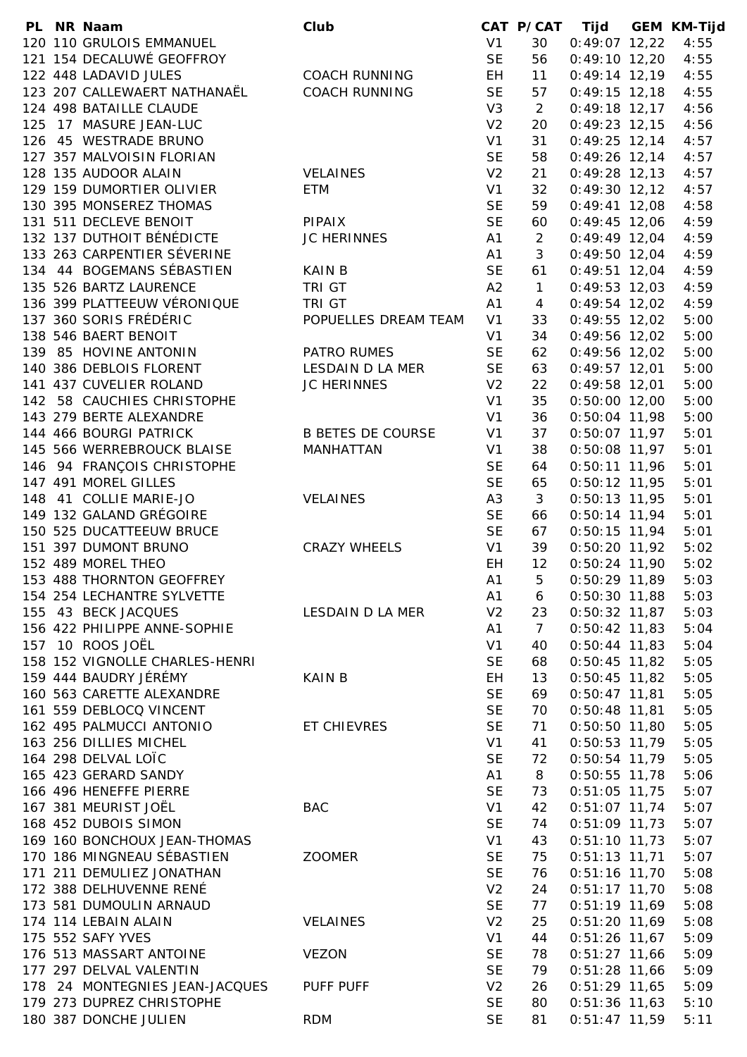|  | PL NR Naam                     | Club                     |                | CAT P/CAT Tijd  |                 | <b>GEM KM-Tijd</b> |
|--|--------------------------------|--------------------------|----------------|-----------------|-----------------|--------------------|
|  | 120 110 GRULOIS EMMANUEL       |                          | V <sub>1</sub> | 30              | $0:49:07$ 12,22 | 4:55               |
|  | 121 154 DECALUWÉ GEOFFROY      |                          | <b>SE</b>      | 56              | $0:49:10$ 12,20 | 4:55               |
|  | 122 448 LADAVID JULES          | <b>COACH RUNNING</b>     | EH             | 11              | $0:49:14$ 12,19 | 4:55               |
|  | 123 207 CALLEWAERT NATHANAËL   | <b>COACH RUNNING</b>     | <b>SE</b>      | 57              | $0:49:15$ 12,18 | 4:55               |
|  | 124 498 BATAILLE CLAUDE        |                          | V3             | $\overline{2}$  | $0:49:18$ 12,17 | 4:56               |
|  | 125 17 MASURE JEAN-LUC         |                          | V <sub>2</sub> | 20              | $0:49:23$ 12,15 | 4:56               |
|  | 126 45 WESTRADE BRUNO          |                          | V <sub>1</sub> | 31              | $0:49:25$ 12,14 | 4:57               |
|  | 127 357 MALVOISIN FLORIAN      |                          | <b>SE</b>      | 58              | $0:49:26$ 12,14 | 4:57               |
|  | 128 135 AUDOOR ALAIN           | <b>VELAINES</b>          | V <sub>2</sub> | 21              | $0:49:28$ 12,13 | 4:57               |
|  | 129 159 DUMORTIER OLIVIER      | ETM                      | V <sub>1</sub> | 32              | $0:49:30$ 12,12 | 4:57               |
|  | 130 395 MONSEREZ THOMAS        |                          | <b>SE</b>      | 59              | $0:49:41$ 12,08 | 4:58               |
|  | 131 511 DECLEVE BENOIT         | <b>PIPAIX</b>            | <b>SE</b>      | 60              | $0:49:45$ 12,06 | 4:59               |
|  | 132 137 DUTHOIT BÉNÉDICTE      | <b>JC HERINNES</b>       | A <sub>1</sub> | $\overline{2}$  | $0:49:49$ 12,04 | 4:59               |
|  | 133 263 CARPENTIER SÉVERINE    |                          | A <sub>1</sub> | 3               | $0:49:50$ 12,04 | 4:59               |
|  | 134 44 BOGEMANS SÉBASTIEN      | <b>KAIN B</b>            | <b>SE</b>      | 61              | $0:49:51$ 12,04 | 4:59               |
|  | 135 526 BARTZ LAURENCE         | TRI GT                   | A2             | $\mathbf{1}$    | $0:49:53$ 12,03 | 4:59               |
|  | 136 399 PLATTEEUW VÉRONIQUE    | TRI GT                   | A1             | $\overline{4}$  | $0:49:54$ 12,02 | 4:59               |
|  | 137 360 SORIS FRÉDÉRIC         | POPUELLES DREAM TEAM     | V <sub>1</sub> | 33              | $0:49:55$ 12,02 | 5:00               |
|  | 138 546 BAERT BENOIT           |                          | V <sub>1</sub> | 34              | $0:49:56$ 12,02 | 5:00               |
|  | 139 85 HOVINE ANTONIN          | PATRO RUMES              | <b>SE</b>      | 62              | 0:49:56 12,02   | 5:00               |
|  | 140 386 DEBLOIS FLORENT        | LESDAIN D LA MER         | <b>SE</b>      | 63              | $0:49:57$ 12,01 | 5:00               |
|  | 141 437 CUVELIER ROLAND        | JC HERINNES              | V <sub>2</sub> | 22              | $0:49:58$ 12,01 | 5:00               |
|  | 142 58 CAUCHIES CHRISTOPHE     |                          | V <sub>1</sub> | 35              | $0:50:00$ 12,00 | 5:00               |
|  | 143 279 BERTE ALEXANDRE        |                          | V <sub>1</sub> | 36              | $0:50:04$ 11,98 | 5:00               |
|  | 144 466 BOURGI PATRICK         | <b>B BETES DE COURSE</b> | V <sub>1</sub> | 37              | $0:50:07$ 11,97 | 5:01               |
|  | 145 566 WERREBROUCK BLAISE     | <b>MANHATTAN</b>         | V <sub>1</sub> | 38              | $0:50:08$ 11,97 | 5:01               |
|  | 146 94 FRANÇOIS CHRISTOPHE     |                          | <b>SE</b>      | 64              | $0:50:11$ 11,96 | 5:01               |
|  | 147 491 MOREL GILLES           |                          | <b>SE</b>      | 65              | $0:50:12$ 11,95 | 5:01               |
|  | 148 41 COLLIE MARIE-JO         | <b>VELAINES</b>          | A <sub>3</sub> | 3               | 0:50:13 11,95   | 5:01               |
|  | 149 132 GALAND GRÉGOIRE        |                          | <b>SE</b>      | 66              | $0:50:14$ 11,94 | 5:01               |
|  | 150 525 DUCATTEEUW BRUCE       |                          | <b>SE</b>      | 67              | $0:50:15$ 11,94 | 5:01               |
|  | 151 397 DUMONT BRUNO           | <b>CRAZY WHEELS</b>      | V1             | 39              | $0:50:20$ 11,92 | 5:02               |
|  | 152 489 MOREL THEO             |                          | <b>EH</b>      | 12              | $0:50:24$ 11,90 | 5:02               |
|  | 153 488 THORNTON GEOFFREY      |                          | A1             | $\overline{5}$  | $0:50:29$ 11,89 | 5:03               |
|  | 154 254 LECHANTRE SYLVETTE     |                          | A1             | 6               | $0:50:30$ 11,88 | 5:03               |
|  | 155 43 BECK JACQUES            | LESDAIN D LA MER         | V <sub>2</sub> | 23              | $0:50:32$ 11,87 | 5:03               |
|  | 156 422 PHILIPPE ANNE-SOPHIE   |                          | A <sub>1</sub> | $7\overline{ }$ | $0:50:42$ 11,83 | 5:04               |
|  | 157 10 ROOS JOËL               |                          | V <sub>1</sub> | 40              | $0:50:44$ 11,83 | 5:04               |
|  | 158 152 VIGNOLLE CHARLES-HENRI |                          | <b>SE</b>      | 68              | $0:50:45$ 11,82 | 5:05               |
|  | 159 444 BAUDRY JÉRÉMY          | <b>KAIN B</b>            | EH             | 13              | $0:50:45$ 11,82 | 5:05               |
|  | 160 563 CARETTE ALEXANDRE      |                          | <b>SE</b>      | 69              | $0:50:47$ 11,81 | 5:05               |
|  | 161 559 DEBLOCQ VINCENT        |                          | <b>SE</b>      | 70              | $0:50:48$ 11,81 | 5:05               |
|  | 162 495 PALMUCCI ANTONIO       | ET CHIEVRES              | <b>SE</b>      | 71              | $0:50:50$ 11,80 | 5:05               |
|  | 163 256 DILLIES MICHEL         |                          | V <sub>1</sub> | 41              | $0:50:53$ 11,79 | 5:05               |
|  | 164 298 DELVAL LOÏC            |                          | <b>SE</b>      | 72              | $0:50:54$ 11,79 | 5:05               |
|  | 165 423 GERARD SANDY           |                          | A <sub>1</sub> | 8               | $0:50:55$ 11,78 | 5:06               |
|  | 166 496 HENEFFE PIERRE         |                          | <b>SE</b>      | 73              | $0:51:05$ 11,75 | 5:07               |
|  | 167 381 MEURIST JOËL           | <b>BAC</b>               | V1             |                 |                 |                    |
|  | 168 452 DUBOIS SIMON           |                          |                | 42              | $0:51:07$ 11,74 | 5:07               |
|  |                                |                          | <b>SE</b>      | 74              | $0:51:09$ 11,73 | 5:07               |
|  | 169 160 BONCHOUX JEAN-THOMAS   |                          | V <sub>1</sub> | 43              | $0:51:10$ 11,73 | 5:07               |
|  | 170 186 MINGNEAU SÉBASTIEN     | <b>ZOOMER</b>            | <b>SE</b>      | 75              | $0:51:13$ 11,71 | 5:07               |
|  | 171 211 DEMULIEZ JONATHAN      |                          | <b>SE</b>      | 76              | $0:51:16$ 11,70 | 5:08               |
|  | 172 388 DELHUVENNE RENÉ        |                          | V <sub>2</sub> | 24              | $0:51:17$ 11,70 | 5:08               |
|  | 173 581 DUMOULIN ARNAUD        |                          | <b>SE</b>      | 77              | $0:51:19$ 11,69 | 5:08               |
|  | 174 114 LEBAIN ALAIN           | <b>VELAINES</b>          | V <sub>2</sub> | 25              | $0:51:20$ 11,69 | 5:08               |
|  | 175 552 SAFY YVES              |                          | V <sub>1</sub> | 44              | $0:51:26$ 11,67 | 5:09               |
|  | 176 513 MASSART ANTOINE        | <b>VEZON</b>             | <b>SE</b>      | 78              | $0:51:27$ 11,66 | 5:09               |
|  | 177 297 DELVAL VALENTIN        |                          | <b>SE</b>      | 79              | $0:51:28$ 11,66 | 5:09               |
|  | 178 24 MONTEGNIES JEAN-JACQUES | PUFF PUFF                | V <sub>2</sub> | 26              | $0:51:29$ 11,65 | 5:09               |
|  | 179 273 DUPREZ CHRISTOPHE      |                          | <b>SE</b>      | 80              | $0:51:36$ 11,63 | 5:10               |
|  | 180 387 DONCHE JULIEN          | <b>RDM</b>               | <b>SE</b>      | 81              | $0:51:47$ 11,59 | 5:11               |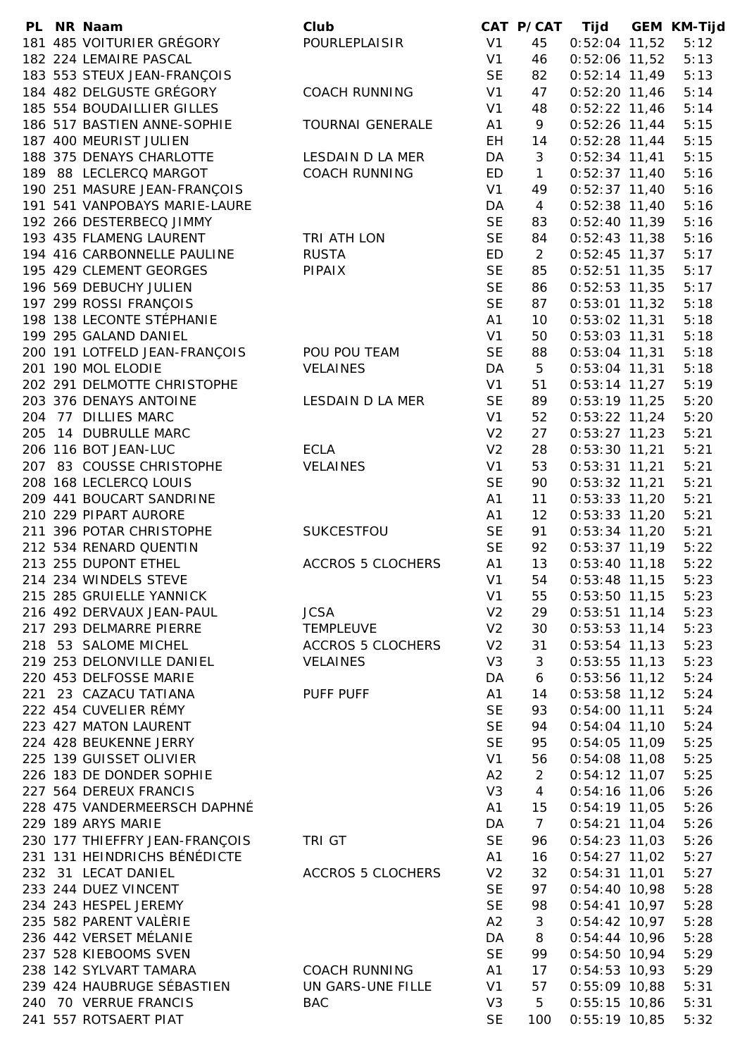|     | PL NR Naam                     | Club                     |                | CAT P/CAT      | Tijd            | <b>GEM KM-Tijd</b> |
|-----|--------------------------------|--------------------------|----------------|----------------|-----------------|--------------------|
|     | 181 485 VOITURIER GRÉGORY      | POURLEPLAISIR            | V <sub>1</sub> | 45             | $0:52:04$ 11,52 | 5:12               |
|     | 182 224 LEMAIRE PASCAL         |                          | V <sub>1</sub> | 46             | $0:52:06$ 11,52 | 5:13               |
|     | 183 553 STEUX JEAN-FRANÇOIS    |                          | <b>SE</b>      | 82             | $0:52:14$ 11,49 | 5:13               |
|     | 184 482 DELGUSTE GRÉGORY       | <b>COACH RUNNING</b>     | V <sub>1</sub> | 47             | $0:52:20$ 11,46 | 5:14               |
|     | 185 554 BOUDAILLIER GILLES     |                          | V <sub>1</sub> | 48             | $0:52:22$ 11,46 | 5:14               |
|     | 186 517 BASTIEN ANNE-SOPHIE    | TOURNAI GENERALE         | A1             | 9              | $0:52:26$ 11,44 | 5:15               |
|     | 187 400 MEURIST JULIEN         |                          | EH.            | 14             | $0:52:28$ 11,44 | 5:15               |
|     | 188 375 DENAYS CHARLOTTE       | LESDAIN D LA MER         | DA             | 3              | $0:52:34$ 11,41 | 5:15               |
|     | 189 88 LECLERCQ MARGOT         | <b>COACH RUNNING</b>     | ED             | $\mathbf{1}$   | $0:52:37$ 11,40 | 5:16               |
|     | 190 251 MASURE JEAN-FRANÇOIS   |                          | V <sub>1</sub> | 49             | $0:52:37$ 11,40 | 5:16               |
|     | 191 541 VANPOBAYS MARIE-LAURE  |                          | DA             | $\overline{4}$ | $0:52:38$ 11,40 | 5:16               |
|     | 192 266 DESTERBECQ JIMMY       |                          | <b>SE</b>      | 83             | $0:52:40$ 11,39 | 5:16               |
|     | 193 435 FLAMENG LAURENT        | TRI ATH LON              | <b>SE</b>      | 84             | $0:52:43$ 11,38 | 5:16               |
|     | 194 416 CARBONNELLE PAULINE    | <b>RUSTA</b>             | ED             | $\overline{2}$ | $0:52:45$ 11,37 | 5:17               |
|     | 195 429 CLEMENT GEORGES        | PIPAIX                   | <b>SE</b>      | 85             | $0:52:51$ 11,35 | 5:17               |
|     | 196 569 DEBUCHY JULIEN         |                          | <b>SE</b>      | 86             | $0:52:53$ 11,35 | 5:17               |
|     | 197 299 ROSSI FRANÇOIS         |                          | <b>SE</b>      | 87             | $0:53:01$ 11,32 | 5:18               |
|     | 198 138 LECONTE STÉPHANIE      |                          | A <sub>1</sub> | 10             | $0:53:02$ 11,31 | 5:18               |
|     | 199 295 GALAND DANIEL          |                          | V <sub>1</sub> | 50             | $0:53:03$ 11,31 | 5:18               |
|     | 200 191 LOTFELD JEAN-FRANÇOIS  | POU POU TEAM             | <b>SE</b>      | 88             | $0:53:04$ 11,31 | 5:18               |
|     | 201 190 MOL ELODIE             | <b>VELAINES</b>          | DA             | 5              | $0:53:04$ 11,31 | 5:18               |
|     | 202 291 DELMOTTE CHRISTOPHE    |                          | V <sub>1</sub> | 51             | $0:53:14$ 11,27 | 5:19               |
|     | 203 376 DENAYS ANTOINE         | LESDAIN D LA MER         | <b>SE</b>      | 89             | $0:53:19$ 11,25 | 5:20               |
|     | 204 77 DILLIES MARC            |                          |                |                |                 | 5:20               |
|     |                                |                          | V <sub>1</sub> | 52             | $0:53:22$ 11,24 |                    |
| 205 | 14 DUBRULLE MARC               |                          | V <sub>2</sub> | 27             | $0:53:27$ 11,23 | 5:21               |
|     | 206 116 BOT JEAN-LUC           | <b>ECLA</b>              | V <sub>2</sub> | 28             | $0:53:30$ 11,21 | 5:21               |
|     | 207 83 COUSSE CHRISTOPHE       | <b>VELAINES</b>          | V <sub>1</sub> | 53             | $0:53:31$ 11,21 | 5:21               |
|     | 208 168 LECLERCQ LOUIS         |                          | <b>SE</b>      | 90             | $0:53:32$ 11,21 | 5:21               |
|     | 209 441 BOUCART SANDRINE       |                          | A <sub>1</sub> | 11             | $0:53:33$ 11,20 | 5:21               |
|     | 210 229 PIPART AURORE          |                          | A <sub>1</sub> | 12             | $0:53:33$ 11,20 | 5:21               |
|     | 211 396 POTAR CHRISTOPHE       | <b>SUKCESTFOU</b>        | <b>SE</b>      | 91             | $0:53:34$ 11,20 | 5:21               |
|     | 212 534 RENARD QUENTIN         |                          | <b>SE</b>      | 92             | $0:53:37$ 11,19 | 5:22               |
|     | 213 255 DUPONT ETHEL           | <b>ACCROS 5 CLOCHERS</b> | A <sub>1</sub> | 13             | $0:53:40$ 11,18 | 5:22               |
|     | 214 234 WINDELS STEVE          |                          | V <sub>1</sub> | 54             | $0:53:48$ 11,15 | 5:23               |
|     | 215 285 GRUIELLE YANNICK       |                          | V <sub>1</sub> | 55             | $0:53:50$ 11,15 | 5:23               |
|     | 216 492 DERVAUX JEAN-PAUL      | <b>JCSA</b>              | V <sub>2</sub> | 29             | $0:53:51$ 11,14 | 5:23               |
|     | 217 293 DELMARRE PIERRE        | TEMPLEUVE                | V <sub>2</sub> | 30             | $0:53:53$ 11,14 | 5:23               |
|     | 218 53 SALOME MICHEL           | <b>ACCROS 5 CLOCHERS</b> | V <sub>2</sub> | 31             | $0:53:54$ 11,13 | 5:23               |
|     | 219 253 DELONVILLE DANIEL      | <b>VELAINES</b>          | V <sub>3</sub> | 3              | $0:53:55$ 11,13 | 5:23               |
|     | 220 453 DELFOSSE MARIE         |                          | DA             | 6              | $0:53:56$ 11,12 | 5:24               |
|     | 221 23 CAZACU TATIANA          | PUFF PUFF                | A1             | 14             | $0:53:58$ 11,12 | 5:24               |
|     | 222 454 CUVELIER RÉMY          |                          | <b>SE</b>      | 93             | $0:54:00$ 11,11 | 5:24               |
|     | 223 427 MATON LAURENT          |                          | <b>SE</b>      | 94             | $0:54:04$ 11,10 | 5:24               |
|     | 224 428 BEUKENNE JERRY         |                          | <b>SE</b>      | 95             | $0:54:05$ 11,09 | 5:25               |
|     | 225 139 GUISSET OLIVIER        |                          | V <sub>1</sub> | 56             | $0:54:08$ 11,08 | 5:25               |
|     | 226 183 DE DONDER SOPHIE       |                          | A2             | $\overline{2}$ | $0:54:12$ 11,07 | 5:25               |
|     | 227 564 DEREUX FRANCIS         |                          | V3             | $\overline{4}$ | $0:54:16$ 11,06 | 5:26               |
|     | 228 475 VANDERMEERSCH DAPHNÉ   |                          | A1             | 15             | $0:54:19$ 11,05 | 5:26               |
|     | 229 189 ARYS MARIE             |                          | DA             | $\overline{7}$ | $0:54:21$ 11,04 | 5:26               |
|     | 230 177 THIEFFRY JEAN-FRANÇOIS | TRI GT                   | <b>SE</b>      | 96             | $0:54:23$ 11,03 | 5:26               |
|     | 231 131 HEINDRICHS BÉNÉDICTE   |                          | A <sub>1</sub> | 16             | $0:54:27$ 11,02 | 5:27               |
|     | 232 31 LECAT DANIEL            | <b>ACCROS 5 CLOCHERS</b> | V <sub>2</sub> | 32             | $0:54:31$ 11,01 | 5:27               |
|     | 233 244 DUEZ VINCENT           |                          | <b>SE</b>      | 97             | $0:54:40$ 10,98 | 5:28               |
|     | 234 243 HESPEL JEREMY          |                          | <b>SE</b>      | 98             | $0:54:41$ 10,97 | 5:28               |
|     | 235 582 PARENT VALÈRIE         |                          | A2             | 3              | $0:54:42$ 10,97 | 5:28               |
|     | 236 442 VERSET MÉLANIE         |                          | DA             | 8              | $0:54:44$ 10,96 | 5:28               |
|     | 237 528 KIEBOOMS SVEN          |                          | <b>SE</b>      | 99             | $0:54:50$ 10,94 | 5:29               |
|     | 238 142 SYLVART TAMARA         | COACH RUNNING            | A1             | 17             | $0:54:53$ 10,93 | 5:29               |
|     | 239 424 HAUBRUGE SÉBASTIEN     | UN GARS-UNE FILLE        | V <sub>1</sub> | 57             | $0:55:09$ 10,88 | 5:31               |
|     | 240 70 VERRUE FRANCIS          | <b>BAC</b>               | V <sub>3</sub> | 5              | $0:55:15$ 10,86 | 5:31               |
|     | 241 557 ROTSAERT PIAT          |                          | <b>SE</b>      | 100            | $0:55:19$ 10,85 | 5:32               |
|     |                                |                          |                |                |                 |                    |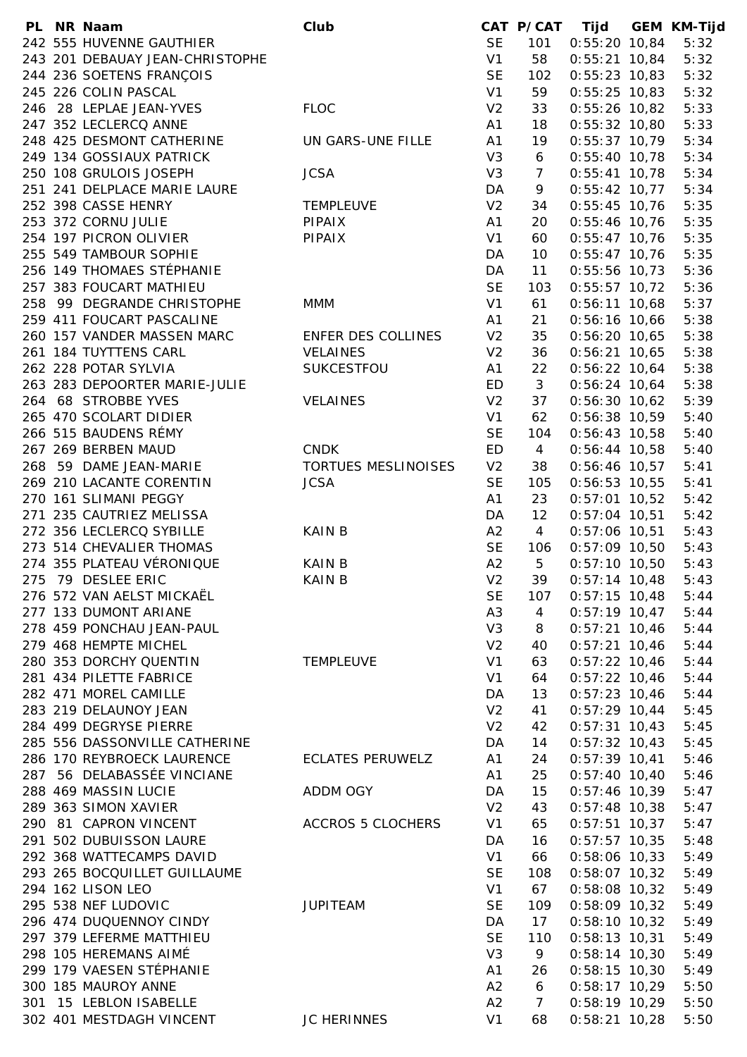|  | PL NR Naam                      | Club                     |                | CAT P/CAT       | Tijd                      | <b>GEM KM-Tijd</b> |
|--|---------------------------------|--------------------------|----------------|-----------------|---------------------------|--------------------|
|  | 242 555 HUVENNE GAUTHIER        |                          | <b>SE</b>      | 101             | $0:55:20$ 10,84           | 5:32               |
|  | 243 201 DEBAUAY JEAN-CHRISTOPHE |                          | V <sub>1</sub> | 58              | $0:55:21$ 10,84           | 5:32               |
|  | 244 236 SOETENS FRANÇOIS        |                          | <b>SE</b>      | 102             | $0:55:23$ 10,83           | 5:32               |
|  | 245 226 COLIN PASCAL            |                          | V1             | 59              | $0:55:25$ 10,83           | 5:32               |
|  | 246 28 LEPLAE JEAN-YVES         | <b>FLOC</b>              | V <sub>2</sub> | 33              | $0:55:26$ 10,82           | 5:33               |
|  | 247 352 LECLERCQ ANNE           |                          | A <sub>1</sub> | 18              | $0:55:32$ 10,80           | 5:33               |
|  | 248 425 DESMONT CATHERINE       | UN GARS-UNE FILLE        | A <sub>1</sub> | 19              | $0:55:37$ 10,79           | 5:34               |
|  | 249 134 GOSSIAUX PATRICK        |                          | V <sub>3</sub> | 6               | $0:55:40$ 10,78           | 5:34               |
|  | 250 108 GRULOIS JOSEPH          | <b>JCSA</b>              | V3             | $\overline{7}$  | $0:55:41$ 10,78           | 5:34               |
|  | 251 241 DELPLACE MARIE LAURE    |                          | DA             | 9               | $0:55:42$ 10,77           | 5:34               |
|  | 252 398 CASSE HENRY             | <b>TEMPLEUVE</b>         | V <sub>2</sub> | 34              | $0:55:45$ 10,76           | 5:35               |
|  | 253 372 CORNU JULIE             | <b>PIPAIX</b>            | A1             | 20              | $0:55:46$ 10,76           | 5:35               |
|  | 254 197 PICRON OLIVIER          | PIPAIX                   | V <sub>1</sub> | 60              | $0:55:47$ 10,76           | 5:35               |
|  | 255 549 TAMBOUR SOPHIE          |                          | DA             | 10 <sup>°</sup> | $0:55:47$ 10,76           | 5:35               |
|  | 256 149 THOMAES STÉPHANIE       |                          | DA             | 11              | $0:55:56$ 10,73           | 5:36               |
|  | 257 383 FOUCART MATHIEU         |                          | <b>SE</b>      | 103             | $0:55:57$ 10,72           | 5:36               |
|  | 258 99 DEGRANDE CHRISTOPHE      | <b>MMM</b>               | V <sub>1</sub> | 61              | $0:56:11$ 10,68           | 5:37               |
|  | 259 411 FOUCART PASCALINE       |                          | A <sub>1</sub> | 21              | $0:56:16$ 10,66           | 5:38               |
|  | 260 157 VANDER MASSEN MARC      | ENFER DES COLLINES       | V <sub>2</sub> | 35              | $0:56:20$ 10,65           | 5:38               |
|  | 261 184 TUYTTENS CARL           | <b>VELAINES</b>          | V <sub>2</sub> | 36              | $0:56:21$ 10,65           | 5:38               |
|  | 262 228 POTAR SYLVIA            | SUKCESTFOU               | A <sub>1</sub> | 22              | $0:56:22$ 10,64           | 5:38               |
|  | 263 283 DEPOORTER MARIE-JULIE   |                          | ED             | 3               | $0:56:24$ 10,64           | 5:38               |
|  | 264 68 STROBBE YVES             | <b>VELAINES</b>          | V <sub>2</sub> | 37              | $0:56:30$ 10,62           | 5:39               |
|  | 265 470 SCOLART DIDIER          |                          | V <sub>1</sub> | 62              | $0:56:38$ 10,59           | 5:40               |
|  | 266 515 BAUDENS RÉMY            |                          | <b>SE</b>      | 104             | $0:56:43$ 10,58           | 5:40               |
|  | 267 269 BERBEN MAUD             | <b>CNDK</b>              | ED             | $\overline{4}$  | $0:56:44$ 10,58           | 5:40               |
|  | 268 59 DAME JEAN-MARIE          | TORTUES MESLINOISES      | V <sub>2</sub> | 38              | $0:56:46$ 10,57           | 5:41               |
|  | 269 210 LACANTE CORENTIN        | <b>JCSA</b>              | <b>SE</b>      | 105             |                           | 5:41               |
|  |                                 |                          | A1             |                 | $0:56:53$ 10,55           |                    |
|  | 270 161 SLIMANI PEGGY           |                          |                | 23              | $0:57:01$ 10,52           | 5:42               |
|  | 271 235 CAUTRIEZ MELISSA        |                          | DA             | 12              | $0:57:04$ 10,51           | 5:42               |
|  | 272 356 LECLERCQ SYBILLE        | <b>KAIN B</b>            | A2             | $\overline{4}$  | $0:57:06$ 10,51           | 5:43               |
|  | 273 514 CHEVALIER THOMAS        |                          | <b>SE</b>      | 106             | $0:57:09$ 10,50           | 5:43               |
|  | 274 355 PLATEAU VÉRONIQUE       | <b>KAIN B</b>            | A2             | 5               | $0:57:10$ 10,50           | 5:43               |
|  | 275 79 DESLEE ERIC              | <b>KAIN B</b>            | V <sub>2</sub> | 39              | $0:57:14$ 10,48           | 5:43               |
|  | 276 572 VAN AELST MICKAËL       |                          | <b>SE</b>      |                 | 107  0:57:15  10,48  5:44 |                    |
|  | 277 133 DUMONT ARIANE           |                          | A3             | $\overline{4}$  | $0:57:19$ 10,47           | 5:44               |
|  | 278 459 PONCHAU JEAN-PAUL       |                          | V3             | 8               | $0:57:21$ 10,46           | 5:44               |
|  | 279 468 HEMPTE MICHEL           |                          | V <sub>2</sub> | 40              | $0:57:21$ 10,46           | 5:44               |
|  | 280 353 DORCHY QUENTIN          | <b>TEMPLEUVE</b>         | V1             | 63              | $0:57:22$ 10,46           | 5:44               |
|  | 281 434 PILETTE FABRICE         |                          | V1             | 64              | $0:57:22$ 10,46           | 5:44               |
|  | 282 471 MOREL CAMILLE           |                          | DA             | 13              | $0:57:23$ 10,46           | 5:44               |
|  | 283 219 DELAUNOY JEAN           |                          | V <sub>2</sub> | 41              | $0:57:29$ 10,44           | 5:45               |
|  | 284 499 DEGRYSE PIERRE          |                          | V <sub>2</sub> | 42              | $0:57:31$ 10,43           | 5:45               |
|  | 285 556 DASSONVILLE CATHERINE   |                          | DA             | 14              | $0:57:32$ 10,43           | 5:45               |
|  | 286 170 REYBROECK LAURENCE      | <b>ECLATES PERUWELZ</b>  | A1             | 24              | $0:57:39$ 10,41           | 5:46               |
|  | 287 56 DELABASSÉE VINCIANE      |                          | A1             | 25              | $0:57:40$ 10,40           | 5:46               |
|  | 288 469 MASSIN LUCIE            | ADDM OGY                 | DA             | 15              | $0:57:46$ 10,39           | 5:47               |
|  | 289 363 SIMON XAVIER            |                          | V <sub>2</sub> | 43              | $0:57:48$ 10,38           | 5:47               |
|  | 290 81 CAPRON VINCENT           | <b>ACCROS 5 CLOCHERS</b> | V1             | 65              | $0:57:51$ 10,37           | 5:47               |
|  | 291 502 DUBUISSON LAURE         |                          | DA             | 16              | $0:57:57$ 10,35           | 5:48               |
|  | 292 368 WATTECAMPS DAVID        |                          | V <sub>1</sub> | 66              | $0:58:06$ 10,33           | 5:49               |
|  | 293 265 BOCQUILLET GUILLAUME    |                          | <b>SE</b>      | 108             | $0:58:07$ 10,32           | 5:49               |
|  | 294 162 LISON LEO               |                          | V1             | 67              | $0:58:08$ 10,32           | 5:49               |
|  | 295 538 NEF LUDOVIC             | <b>JUPITEAM</b>          | <b>SE</b>      | 109             | $0:58:09$ 10,32           | 5:49               |
|  | 296 474 DUQUENNOY CINDY         |                          | DA             | 17              | $0:58:10$ 10,32           | 5:49               |
|  | 297 379 LEFERME MATTHIEU        |                          | <b>SE</b>      | 110             | $0:58:13$ 10,31           | 5:49               |
|  | 298 105 HEREMANS AIMÉ           |                          | V3             | 9               | $0:58:14$ 10,30           | 5:49               |
|  | 299 179 VAESEN STÉPHANIE        |                          | A1             | 26              | $0:58:15$ 10,30           | 5:49               |
|  | 300 185 MAUROY ANNE             |                          | A2             | 6               | $0:58:17$ 10,29           | 5:50               |
|  | 301 15 LEBLON ISABELLE          |                          | A2             | $\overline{7}$  | $0:58:19$ 10,29           | 5:50               |
|  | 302 401 MESTDAGH VINCENT        | <b>JC HERINNES</b>       | V1             | 68              | $0:58:21$ 10,28           | 5:50               |
|  |                                 |                          |                |                 |                           |                    |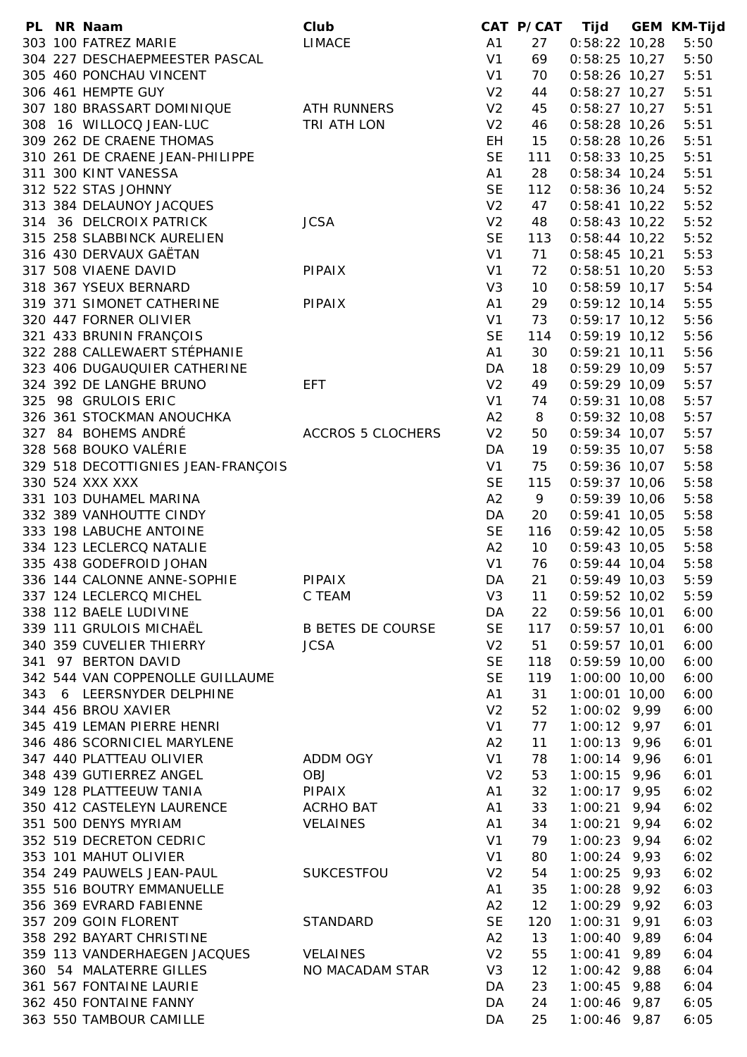|  | PL NR Naam                         | Club                     |                | CAT P/CAT       | Tijd            |      | <b>GEM KM-Tijd</b> |
|--|------------------------------------|--------------------------|----------------|-----------------|-----------------|------|--------------------|
|  | 303 100 FATREZ MARIE               | <b>LIMACE</b>            | A1             | 27              | $0:58:22$ 10,28 |      | 5:50               |
|  | 304 227 DESCHAEPMEESTER PASCAL     |                          | V <sub>1</sub> | 69              | $0:58:25$ 10,27 |      | 5:50               |
|  | 305 460 PONCHAU VINCENT            |                          | V <sub>1</sub> | 70              | $0:58:26$ 10,27 |      | 5:51               |
|  | 306 461 HEMPTE GUY                 |                          | V <sub>2</sub> | 44              | $0:58:27$ 10,27 |      | 5:51               |
|  | 307 180 BRASSART DOMINIQUE         | <b>ATH RUNNERS</b>       | V <sub>2</sub> | 45              | $0:58:27$ 10,27 |      | 5:51               |
|  | 308 16 WILLOCQ JEAN-LUC            | TRI ATH LON              | V <sub>2</sub> | 46              | $0:58:28$ 10,26 |      | 5:51               |
|  | 309 262 DE CRAENE THOMAS           |                          |                |                 |                 |      | 5:51               |
|  |                                    |                          | EH.            | 15              | $0:58:28$ 10,26 |      |                    |
|  | 310 261 DE CRAENE JEAN-PHILIPPE    |                          | <b>SE</b>      | 111             | $0:58:33$ 10,25 |      | 5:51               |
|  | 311 300 KINT VANESSA               |                          | A1             | 28              | $0:58:34$ 10,24 |      | 5:51               |
|  | 312 522 STAS JOHNNY                |                          | <b>SE</b>      | 112             | $0:58:36$ 10,24 |      | 5:52               |
|  | 313 384 DELAUNOY JACQUES           |                          | V <sub>2</sub> | 47              | $0:58:41$ 10,22 |      | 5:52               |
|  | 314 36 DELCROIX PATRICK            | <b>JCSA</b>              | V <sub>2</sub> | 48              | $0:58:43$ 10,22 |      | 5:52               |
|  | 315 258 SLABBINCK AURELIEN         |                          | <b>SE</b>      | 113             | $0:58:44$ 10,22 |      | 5:52               |
|  | 316 430 DERVAUX GAËTAN             |                          | V <sub>1</sub> | 71              | $0:58:45$ 10,21 |      | 5:53               |
|  | 317 508 VIAENE DAVID               | <b>PIPAIX</b>            | V <sub>1</sub> | 72              | $0:58:51$ 10,20 |      | 5:53               |
|  | 318 367 YSEUX BERNARD              |                          | V <sub>3</sub> | 10              | $0:58:59$ 10,17 |      | 5:54               |
|  | 319 371 SIMONET CATHERINE          |                          | A <sub>1</sub> | 29              | $0:59:12$ 10,14 |      | 5:55               |
|  |                                    | <b>PIPAIX</b>            |                |                 |                 |      |                    |
|  | 320 447 FORNER OLIVIER             |                          | V <sub>1</sub> | 73              | $0:59:17$ 10,12 |      | 5:56               |
|  | 321 433 BRUNIN FRANÇOIS            |                          | <b>SE</b>      | 114             | $0:59:19$ 10,12 |      | 5:56               |
|  | 322 288 CALLEWAERT STÉPHANIE       |                          | A <sub>1</sub> | 30              | $0:59:21$ 10,11 |      | 5:56               |
|  | 323 406 DUGAUQUIER CATHERINE       |                          | DA             | 18              | $0:59:29$ 10,09 |      | 5:57               |
|  | 324 392 DE LANGHE BRUNO            | EFT.                     | V <sub>2</sub> | 49              | 0:59:29 10,09   |      | 5:57               |
|  | 325 98 GRULOIS ERIC                |                          | V <sub>1</sub> | 74              | $0:59:31$ 10,08 |      | 5:57               |
|  | 326 361 STOCKMAN ANOUCHKA          |                          | A2             | 8               | $0:59:32$ 10,08 |      | 5:57               |
|  | 327 84 BOHEMS ANDRÉ                | <b>ACCROS 5 CLOCHERS</b> | V <sub>2</sub> | 50              | $0:59:34$ 10,07 |      | 5:57               |
|  | 328 568 BOUKO VALÉRIE              |                          | DA             | 19              | $0:59:35$ 10,07 |      | 5:58               |
|  | 329 518 DECOTTIGNIES JEAN-FRANÇOIS |                          | V <sub>1</sub> | 75              | $0:59:36$ 10,07 |      | 5:58               |
|  |                                    |                          |                |                 |                 |      |                    |
|  | 330 524 XXX XXX                    |                          | <b>SE</b>      | 115             | $0:59:37$ 10,06 |      | 5:58               |
|  | 331 103 DUHAMEL MARINA             |                          | A2             | 9               | $0:59:39$ 10,06 |      | 5:58               |
|  | 332 389 VANHOUTTE CINDY            |                          | DA             | 20              | $0:59:41$ 10,05 |      | 5:58               |
|  | 333 198 LABUCHE ANTOINE            |                          | <b>SE</b>      | 116             | $0:59:42$ 10,05 |      | 5:58               |
|  | 334 123 LECLERCQ NATALIE           |                          | A2             | 10 <sup>°</sup> | $0:59:43$ 10,05 |      | 5:58               |
|  | 335 438 GODEFROID JOHAN            |                          | V <sub>1</sub> | 76              | $0:59:44$ 10,04 |      | 5:58               |
|  | 336 144 CALONNE ANNE-SOPHIE        | <b>PIPAIX</b>            | DA             | 21              | $0:59:49$ 10,03 |      | 5:59               |
|  | 337 124 LECLERCQ MICHEL            | C TEAM                   | V <sub>3</sub> | 11              | $0:59:52$ 10,02 |      | 5:59               |
|  | 338 112 BAELE LUDIVINE             |                          | DA             | 22              | $0:59:56$ 10,01 |      | 6:00               |
|  | 339 111 GRULOIS MICHAËL            | <b>B BETES DE COURSE</b> | <b>SE</b>      | 117             | $0:59:57$ 10,01 |      | 6:00               |
|  |                                    |                          |                |                 |                 |      |                    |
|  | 340 359 CUVELIER THIERRY           | <b>JCSA</b>              | V <sub>2</sub> | 51              | $0:59:57$ 10,01 |      | 6:00               |
|  | 341 97 BERTON DAVID                |                          | <b>SE</b>      | 118             | $0:59:59$ 10,00 |      | 6:00               |
|  | 342 544 VAN COPPENOLLE GUILLAUME   |                          | <b>SE</b>      | 119             | 1:00:00 10,00   |      | 6:00               |
|  | 343 6 LEERSNYDER DELPHINE          |                          | A <sub>1</sub> | 31              | 1:00:01 10,00   |      | 6:00               |
|  | 344 456 BROU XAVIER                |                          | V <sub>2</sub> | 52              | 1:00:02 9,99    |      | 6:00               |
|  | 345 419 LEMAN PIERRE HENRI         |                          | V <sub>1</sub> | 77              | $1:00:12$ 9,97  |      | 6:01               |
|  | 346 486 SCORNICIEL MARYLENE        |                          | A2             | 11              | $1:00:13$ 9,96  |      | 6:01               |
|  | 347 440 PLATTEAU OLIVIER           | ADDM OGY                 | V <sub>1</sub> | 78              | $1:00:14$ 9,96  |      | 6:01               |
|  | 348 439 GUTIERREZ ANGEL            | OBJ                      | V <sub>2</sub> | 53              | $1:00:15$ 9,96  |      | 6:01               |
|  | 349 128 PLATTEEUW TANIA            | <b>PIPAIX</b>            |                |                 |                 |      |                    |
|  |                                    |                          | A1             | 32              | $1:00:17$ 9,95  |      | 6:02               |
|  | 350 412 CASTELEYN LAURENCE         | ACRHO BAT                | A1             | 33              | $1:00:21$ 9,94  |      | 6:02               |
|  | 351 500 DENYS MYRIAM               | <b>VELAINES</b>          | A <sub>1</sub> | 34              | $1:00:21$ 9,94  |      | 6:02               |
|  | 352 519 DECRETON CEDRIC            |                          | V <sub>1</sub> | 79              | $1:00:23$ 9,94  |      | 6:02               |
|  | 353 101 MAHUT OLIVIER              |                          | V <sub>1</sub> | 80              | $1:00:24$ 9,93  |      | 6:02               |
|  | 354 249 PAUWELS JEAN-PAUL          | SUKCESTFOU               | V <sub>2</sub> | 54              | $1:00:25$ 9,93  |      | 6:02               |
|  | 355 516 BOUTRY EMMANUELLE          |                          | A1             | 35              | $1:00:28$ 9,92  |      | 6:03               |
|  | 356 369 EVRARD FABIENNE            |                          | A2             | 12              | $1:00:29$ 9,92  |      | 6:03               |
|  | 357 209 GOIN FLORENT               | <b>STANDARD</b>          | <b>SE</b>      | 120             | 1:00:31         | 9,91 | 6:03               |
|  | 358 292 BAYART CHRISTINE           |                          | A2             | 13              | $1:00:40$ 9,89  |      | 6:04               |
|  | 359 113 VANDERHAEGEN JACQUES       |                          |                | 55              | $1:00:41$ 9,89  |      | 6:04               |
|  |                                    | <b>VELAINES</b>          | V <sub>2</sub> |                 |                 |      |                    |
|  | 360 54 MALATERRE GILLES            | NO MACADAM STAR          | V <sub>3</sub> | 12              | $1:00:42$ 9,88  |      | 6:04               |
|  | 361 567 FONTAINE LAURIE            |                          | DA             | 23              | $1:00:45$ 9,88  |      | 6:04               |
|  | 362 450 FONTAINE FANNY             |                          | DA             | 24              | $1:00:46$ 9,87  |      | 6:05               |
|  | 363 550 TAMBOUR CAMILLE            |                          | DA             | 25              | $1:00:46$ 9,87  |      | 6:05               |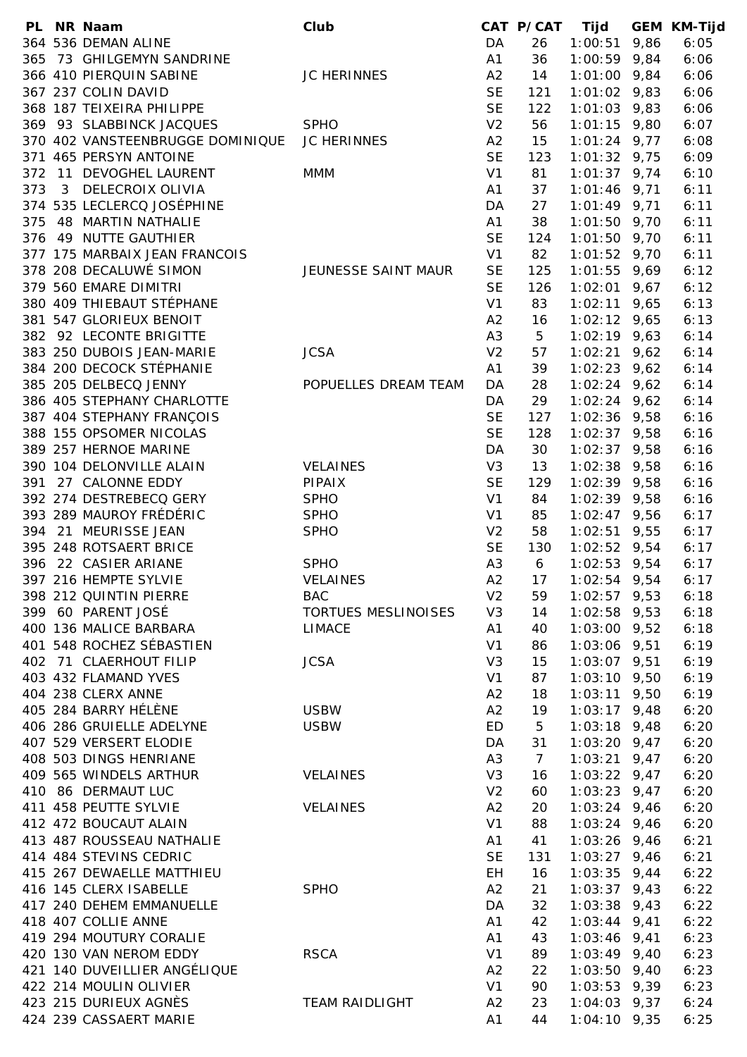|     | PL NR Naam                       | Club                  |                | CAT P/CAT      | Tijd           |      | <b>GEM KM-Tijd</b> |
|-----|----------------------------------|-----------------------|----------------|----------------|----------------|------|--------------------|
|     | 364 536 DEMAN ALINE              |                       | DA             | 26             | 1:00:51        | 9,86 | 6:05               |
|     | 365 73 GHILGEMYN SANDRINE        |                       | A1             | 36             | $1:00:59$ 9,84 |      | 6:06               |
|     | 366 410 PIERQUIN SABINE          | <b>JC HERINNES</b>    | A2             | 14             | $1:01:00$ 9,84 |      | 6:06               |
|     | 367 237 COLIN DAVID              |                       | <b>SE</b>      | 121            | $1:01:02$ 9,83 |      | 6:06               |
|     | 368 187 TEIXEIRA PHILIPPE        |                       | <b>SE</b>      | 122            | $1:01:03$ 9,83 |      | 6:06               |
|     | 369 93 SLABBINCK JACQUES         | <b>SPHO</b>           | V <sub>2</sub> | 56             | $1:01:15$ 9,80 |      | 6:07               |
|     | 370 402 VANSTEENBRUGGE DOMINIQUE | JC HERINNES           | A2             | 15             | $1:01:24$ 9,77 |      | 6:08               |
|     | 371 465 PERSYN ANTOINE           |                       | <b>SE</b>      |                |                |      |                    |
|     |                                  |                       |                | 123            | $1:01:32$ 9,75 |      | 6:09               |
| 372 | 11 DEVOGHEL LAURENT              | <b>MMM</b>            | V <sub>1</sub> | 81             | $1:01:37$ 9,74 |      | 6:10               |
| 373 | 3 DELECROIX OLIVIA               |                       | A <sub>1</sub> | 37             | $1:01:46$ 9,71 |      | 6:11               |
|     | 374 535 LECLERCQ JOSÉPHINE       |                       | DA             | 27             | $1:01:49$ 9,71 |      | 6:11               |
|     | 375 48 MARTIN NATHALIE           |                       | A1             | 38             | $1:01:50$ 9,70 |      | 6:11               |
|     | 376 49 NUTTE GAUTHIER            |                       | <b>SE</b>      | 124            | $1:01:50$ 9,70 |      | 6:11               |
|     | 377 175 MARBAIX JEAN FRANCOIS    |                       | V <sub>1</sub> | 82             | $1:01:52$ 9,70 |      | 6:11               |
|     | 378 208 DECALUWÉ SIMON           | JEUNESSE SAINT MAUR   | <b>SE</b>      | 125            | $1:01:55$ 9,69 |      | 6:12               |
|     | 379 560 EMARE DIMITRI            |                       | <b>SE</b>      | 126            | 1:02:01        | 9,67 | 6:12               |
|     | 380 409 THIEBAUT STÉPHANE        |                       | V1             | 83             | 1:02:11        | 9,65 | 6:13               |
|     | 381 547 GLORIEUX BENOIT          |                       | A2             | 16             | $1:02:12$ 9,65 |      | 6:13               |
|     | 382 92 LECONTE BRIGITTE          |                       | A <sub>3</sub> | 5              | $1:02:19$ 9,63 |      | 6:14               |
|     | 383 250 DUBOIS JEAN-MARIE        | <b>JCSA</b>           | V <sub>2</sub> | 57             |                |      | 6:14               |
|     |                                  |                       |                |                | $1:02:21$ 9,62 |      |                    |
|     | 384 200 DECOCK STÉPHANIE         |                       | A1             | 39             | $1:02:23$ 9,62 |      | 6:14               |
|     | 385 205 DELBECQ JENNY            | POPUELLES DREAM TEAM  | DA             | 28             | $1:02:24$ 9,62 |      | 6:14               |
|     | 386 405 STEPHANY CHARLOTTE       |                       | DA             | 29             | $1:02:24$ 9,62 |      | 6:14               |
|     | 387 404 STEPHANY FRANÇOIS        |                       | <b>SE</b>      | 127            | $1:02:36$ 9,58 |      | 6:16               |
|     | 388 155 OPSOMER NICOLAS          |                       | <b>SE</b>      | 128            | $1:02:37$ 9,58 |      | 6:16               |
|     | 389 257 HERNOE MARINE            |                       | DA             | 30             | $1:02:37$ 9,58 |      | 6:16               |
|     | 390 104 DELONVILLE ALAIN         | <b>VELAINES</b>       | V <sub>3</sub> | 13             | $1:02:38$ 9,58 |      | 6:16               |
| 391 | 27 CALONNE EDDY                  | PIPAIX                | <b>SE</b>      | 129            | $1:02:39$ 9,58 |      | 6:16               |
|     | 392 274 DESTREBECQ GERY          | <b>SPHO</b>           | V <sub>1</sub> | 84             | $1:02:39$ 9,58 |      | 6:16               |
|     | 393 289 MAUROY FRÉDÉRIC          | <b>SPHO</b>           | V <sub>1</sub> | 85             | $1:02:47$ 9,56 |      | 6:17               |
|     | 394 21 MEURISSE JEAN             | <b>SPHO</b>           | V <sub>2</sub> | 58             | $1:02:51$ 9,55 |      | 6:17               |
|     | 395 248 ROTSAERT BRICE           |                       | <b>SE</b>      | 130            | $1:02:52$ 9,54 |      | 6:17               |
|     |                                  |                       |                |                |                |      |                    |
|     | 396 22 CASIER ARIANE             | <b>SPHO</b>           | A <sub>3</sub> | 6              | $1:02:53$ 9,54 |      | 6:17               |
|     | 397 216 HEMPTE SYLVIE            | <b>VELAINES</b>       | A2             | 17             | $1:02:54$ 9,54 |      | 6:17               |
|     | 398 212 QUINTIN PIERRE           | <b>BAC</b>            | V <sub>2</sub> | 59             | $1:02:57$ 9,53 |      | 6:18               |
|     | 399 60 PARENT JOSÉ               | TORTUES MESLINOISES   | V <sub>3</sub> | 14             | $1:02:58$ 9,53 |      | 6:18               |
|     | 400 136 MALICE BARBARA           | <b>LIMACE</b>         | A1             | 40             | $1:03:00$ 9,52 |      | 6:18               |
|     | 401 548 ROCHEZ SÉBASTIEN         |                       | V <sub>1</sub> | 86             | $1:03:06$ 9,51 |      | 6:19               |
|     | 402 71 CLAERHOUT FILIP           | <b>JCSA</b>           | V <sub>3</sub> | 15             | $1:03:07$ 9,51 |      | 6:19               |
|     | 403 432 FLAMAND YVES             |                       | V <sub>1</sub> | 87             | $1:03:10$ 9,50 |      | 6:19               |
|     | 404 238 CLERX ANNE               |                       | A2             | 18             | 1:03:11        | 9,50 | 6:19               |
|     | 405 284 BARRY HÉLÈNE             | <b>USBW</b>           | A2             | 19             | $1:03:17$ 9,48 |      | 6:20               |
|     | 406 286 GRUIELLE ADELYNE         | <b>USBW</b>           | ED             | 5              | $1:03:18$ 9,48 |      | 6:20               |
|     | 407 529 VERSERT ELODIE           |                       | DA             | 31             | $1:03:20$ 9,47 |      | 6:20               |
|     | 408 503 DINGS HENRIANE           |                       | A <sub>3</sub> | $\overline{7}$ | $1:03:21$ 9,47 |      | 6:20               |
|     | 409 565 WINDELS ARTHUR           | <b>VELAINES</b>       | V <sub>3</sub> | 16             | $1:03:22$ 9,47 |      | 6:20               |
|     |                                  |                       |                |                |                |      |                    |
|     | 410 86 DERMAUT LUC               |                       | V <sub>2</sub> | 60             | $1:03:23$ 9,47 |      | 6:20               |
|     | 411 458 PEUTTE SYLVIE            | <b>VELAINES</b>       | A2             | 20             | $1:03:24$ 9,46 |      | 6:20               |
|     | 412 472 BOUCAUT ALAIN            |                       | V <sub>1</sub> | 88             | $1:03:24$ 9,46 |      | 6:20               |
|     | 413 487 ROUSSEAU NATHALIE        |                       | A1             | 41             | $1:03:26$ 9,46 |      | 6:21               |
|     | 414 484 STEVINS CEDRIC           |                       | <b>SE</b>      | 131            | $1:03:27$ 9,46 |      | 6:21               |
|     | 415 267 DEWAELLE MATTHIEU        |                       | EH             | 16             | $1:03:35$ 9,44 |      | 6:22               |
|     | 416 145 CLERX ISABELLE           | <b>SPHO</b>           | A2             | 21             | $1:03:37$ 9,43 |      | 6:22               |
|     | 417 240 DEHEM EMMANUELLE         |                       | DA             | 32             | $1:03:38$ 9,43 |      | 6:22               |
|     | 418 407 COLLIE ANNE              |                       | A1             | 42             | $1:03:44$ 9,41 |      | 6:22               |
|     | 419 294 MOUTURY CORALIE          |                       | A1             | 43             | $1:03:46$ 9,41 |      | 6:23               |
|     | 420 130 VAN NEROM EDDY           | <b>RSCA</b>           | V <sub>1</sub> | 89             | $1:03:49$ 9,40 |      | 6:23               |
|     | 421 140 DUVEILLIER ANGÉLIQUE     |                       | A2             | 22             | $1:03:50$ 9,40 |      | 6:23               |
|     | 422 214 MOULIN OLIVIER           |                       |                |                |                |      |                    |
|     |                                  |                       | V1             | 90             | $1:03:53$ 9,39 |      | 6:23               |
|     | 423 215 DURIEUX AGNÈS            | <b>TEAM RAIDLIGHT</b> | A2             | 23             | $1:04:03$ 9,37 |      | 6:24               |
|     | 424 239 CASSAERT MARIE           |                       | A1             | 44             | $1:04:10$ 9,35 |      | 6:25               |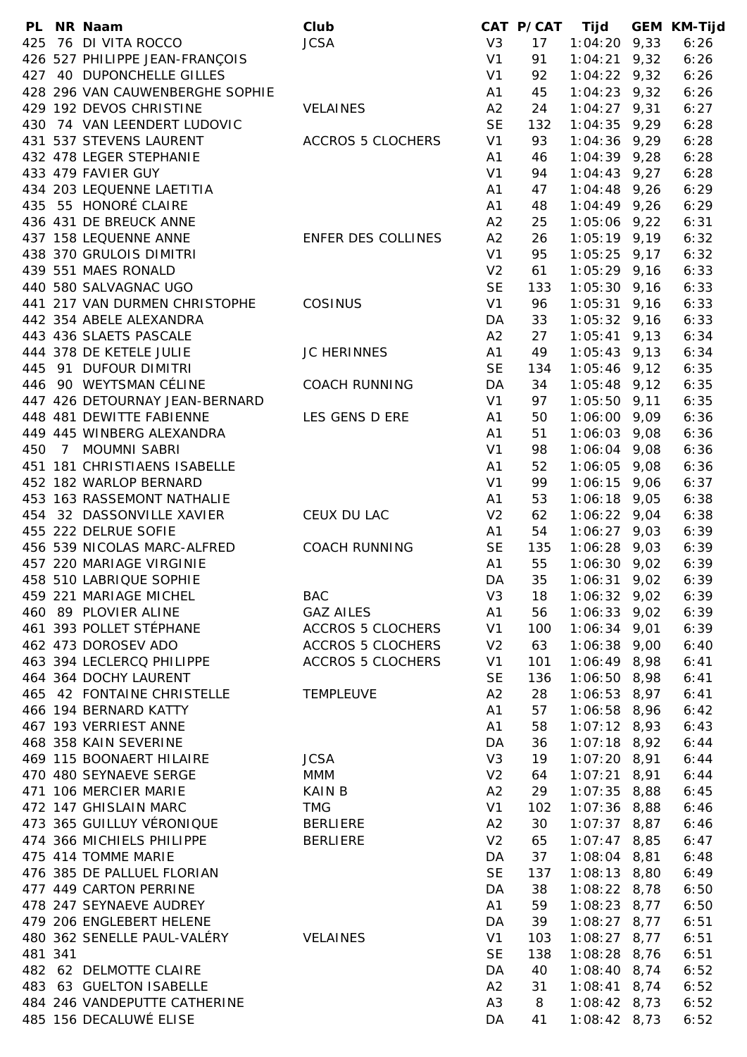|         | PL NR Naam                      | Club                     |                | CAT P/CAT | Tijd           | <b>GEM KM-Tijd</b> |
|---------|---------------------------------|--------------------------|----------------|-----------|----------------|--------------------|
|         | 425 76 DI VITA ROCCO            | <b>JCSA</b>              | V3             | 17        | $1:04:20$ 9,33 | 6:26               |
|         | 426 527 PHILIPPE JEAN-FRANÇOIS  |                          | V <sub>1</sub> | 91        | $1:04:21$ 9,32 | 6:26               |
|         | 427 40 DUPONCHELLE GILLES       |                          | V <sub>1</sub> | 92        | $1:04:22$ 9,32 | 6:26               |
|         | 428 296 VAN CAUWENBERGHE SOPHIE |                          | A <sub>1</sub> | 45        | $1:04:23$ 9,32 | 6:26               |
|         | 429 192 DEVOS CHRISTINE         | <b>VELAINES</b>          | A2             | 24        | $1:04:27$ 9,31 | 6:27               |
|         | 430 74 VAN LEENDERT LUDOVIC     |                          | <b>SE</b>      | 132       | $1:04:35$ 9,29 | 6:28               |
|         | 431 537 STEVENS LAURENT         | <b>ACCROS 5 CLOCHERS</b> | V <sub>1</sub> | 93        | $1:04:36$ 9,29 | 6:28               |
|         | 432 478 LEGER STEPHANIE         |                          | A <sub>1</sub> | 46        | $1:04:39$ 9,28 | 6:28               |
|         | 433 479 FAVIER GUY              |                          | V <sub>1</sub> | 94        | $1:04:43$ 9,27 | 6:28               |
|         | 434 203 LEQUENNE LAETITIA       |                          |                |           |                |                    |
|         |                                 |                          | A1             | 47        | $1:04:48$ 9,26 | 6:29               |
|         | 435 55 HONORÉ CLAIRE            |                          | A <sub>1</sub> | 48        | $1:04:49$ 9,26 | 6:29               |
|         | 436 431 DE BREUCK ANNE          |                          | A2             | 25        | $1:05:06$ 9,22 | 6:31               |
|         | 437 158 LEQUENNE ANNE           | ENFER DES COLLINES       | A2             | 26        | $1:05:19$ 9,19 | 6:32               |
|         | 438 370 GRULOIS DIMITRI         |                          | V <sub>1</sub> | 95        | $1:05:25$ 9,17 | 6:32               |
|         | 439 551 MAES RONALD             |                          | V <sub>2</sub> | 61        | $1:05:29$ 9,16 | 6:33               |
|         | 440 580 SALVAGNAC UGO           |                          | <b>SE</b>      | 133       | $1:05:30$ 9,16 | 6:33               |
|         | 441 217 VAN DURMEN CHRISTOPHE   | COSINUS                  | V <sub>1</sub> | 96        | $1:05:31$ 9,16 | 6:33               |
|         | 442 354 ABELE ALEXANDRA         |                          | DA             | 33        | $1:05:32$ 9,16 | 6:33               |
|         | 443 436 SLAETS PASCALE          |                          | A2             | 27        | $1:05:41$ 9,13 | 6:34               |
|         | 444 378 DE KETELE JULIE         | JC HERINNES              | A1             | 49        | $1:05:43$ 9,13 | 6:34               |
|         | 445 91 DUFOUR DIMITRI           |                          | <b>SE</b>      | 134       | $1:05:46$ 9,12 | 6:35               |
|         | 446 90 WEYTSMAN CÉLINE          | <b>COACH RUNNING</b>     | DA             | 34        | $1:05:48$ 9,12 | 6:35               |
|         | 447 426 DETOURNAY JEAN-BERNARD  |                          | V <sub>1</sub> | 97        | $1:05:50$ 9,11 | 6:35               |
|         | 448 481 DEWITTE FABIENNE        | LES GENS D ERE           | A1             | 50        | $1:06:00$ 9,09 | 6:36               |
|         | 449 445 WINBERG ALEXANDRA       |                          | A <sub>1</sub> | 51        | $1:06:03$ 9,08 | 6:36               |
| 450     | 7 MOUMNI SABRI                  |                          | V <sub>1</sub> | 98        | $1:06:04$ 9,08 | 6:36               |
|         | 451 181 CHRISTIAENS ISABELLE    |                          | A <sub>1</sub> | 52        | $1:06:05$ 9,08 | 6:36               |
|         |                                 |                          |                |           |                |                    |
|         | 452 182 WARLOP BERNARD          |                          | V <sub>1</sub> | 99        | $1:06:15$ 9,06 | 6:37               |
|         | 453 163 RASSEMONT NATHALIE      |                          | A1             | 53        | $1:06:18$ 9,05 | 6:38               |
|         | 454 32 DASSONVILLE XAVIER       | CEUX DU LAC              | V <sub>2</sub> | 62        | $1:06:22$ 9,04 | 6:38               |
|         | 455 222 DELRUE SOFIE            |                          | A1             | 54        | $1:06:27$ 9,03 | 6:39               |
|         | 456 539 NICOLAS MARC-ALFRED     | <b>COACH RUNNING</b>     | <b>SE</b>      | 135       | $1:06:28$ 9,03 | 6:39               |
|         | 457 220 MARIAGE VIRGINIE        |                          | A1             | 55        | $1:06:30$ 9,02 | 6:39               |
|         | 458 510 LABRIQUE SOPHIE         |                          | DA             | 35        | $1:06:31$ 9,02 | 6:39               |
|         | 459 221 MARIAGE MICHEL          | <b>BAC</b>               | V <sub>3</sub> | 18        | $1:06:32$ 9,02 | 6:39               |
|         | 460 89 PLOVIER ALINE            | <b>GAZ AILES</b>         | A1             | 56        | $1:06:33$ 9,02 | 6:39               |
|         | 461 393 POLLET STÉPHANE         | ACCROS 5 CLOCHERS        | V1             | 100       | $1:06:34$ 9,01 | 6:39               |
|         | 462 473 DOROSEV ADO             | <b>ACCROS 5 CLOCHERS</b> | V <sub>2</sub> | 63        | $1:06:38$ 9,00 | 6:40               |
|         | 463 394 LECLERCQ PHILIPPE       | <b>ACCROS 5 CLOCHERS</b> | V <sub>1</sub> | 101       | $1:06:49$ 8,98 | 6:41               |
|         | 464 364 DOCHY LAURENT           |                          | <b>SE</b>      | 136       | $1:06:50$ 8,98 | 6:41               |
|         | 465 42 FONTAINE CHRISTELLE      | <b>TEMPLEUVE</b>         | A2             | 28        | $1:06:53$ 8,97 | 6:41               |
|         | 466 194 BERNARD KATTY           |                          | A1             | 57        | $1:06:58$ 8,96 | 6:42               |
|         | 467 193 VERRIEST ANNE           |                          | A1             | 58        | $1:07:12$ 8,93 | 6:43               |
|         | 468 358 KAIN SEVERINE           |                          | DA             | 36        | $1:07:18$ 8,92 | 6:44               |
|         | 469 115 BOONAERT HILAIRE        | <b>JCSA</b>              | V3             | 19        | $1:07:20$ 8,91 | 6:44               |
|         | 470 480 SEYNAEVE SERGE          | <b>MMM</b>               | V <sub>2</sub> | 64        | $1:07:21$ 8,91 | 6:44               |
|         | 471 106 MERCIER MARIE           | <b>KAIN B</b>            | A2             | 29        | $1:07:35$ 8,88 | 6:45               |
|         |                                 |                          |                |           |                |                    |
|         | 472 147 GHISLAIN MARC           | <b>TMG</b>               | V1             | 102       | $1:07:36$ 8,88 | 6:46               |
|         | 473 365 GUILLUY VÉRONIQUE       | BERLIERE                 | A2             | 30        | $1:07:37$ 8,87 | 6:46               |
|         | 474 366 MICHIELS PHILIPPE       | <b>BERLIERE</b>          | V <sub>2</sub> | 65        | $1:07:47$ 8,85 | 6:47               |
|         | 475 414 TOMME MARIE             |                          | DA             | 37        | $1:08:04$ 8,81 | 6:48               |
|         | 476 385 DE PALLUEL FLORIAN      |                          | <b>SE</b>      | 137       | $1:08:13$ 8,80 | 6:49               |
|         | 477 449 CARTON PERRINE          |                          | DA             | 38        | $1:08:22$ 8,78 | 6:50               |
|         | 478 247 SEYNAEVE AUDREY         |                          | A1             | 59        | $1:08:23$ 8,77 | 6:50               |
|         | 479 206 ENGLEBERT HELENE        |                          | DA             | 39        | $1:08:27$ 8,77 | 6:51               |
|         | 480 362 SENELLE PAUL-VALÉRY     | <b>VELAINES</b>          | V <sub>1</sub> | 103       | $1:08:27$ 8,77 | 6:51               |
| 481 341 |                                 |                          | <b>SE</b>      | 138       | $1:08:28$ 8,76 | 6:51               |
|         | 482 62 DELMOTTE CLAIRE          |                          | DA             | 40        | $1:08:40$ 8,74 | 6:52               |
|         | 483 63 GUELTON ISABELLE         |                          | A2             | 31        | $1:08:41$ 8,74 | 6:52               |
|         | 484 246 VANDEPUTTE CATHERINE    |                          | A <sub>3</sub> | 8         | $1:08:42$ 8,73 | 6:52               |
|         | 485 156 DECALUWÉ ELISE          |                          | DA             | 41        | $1:08:42$ 8,73 | 6:52               |